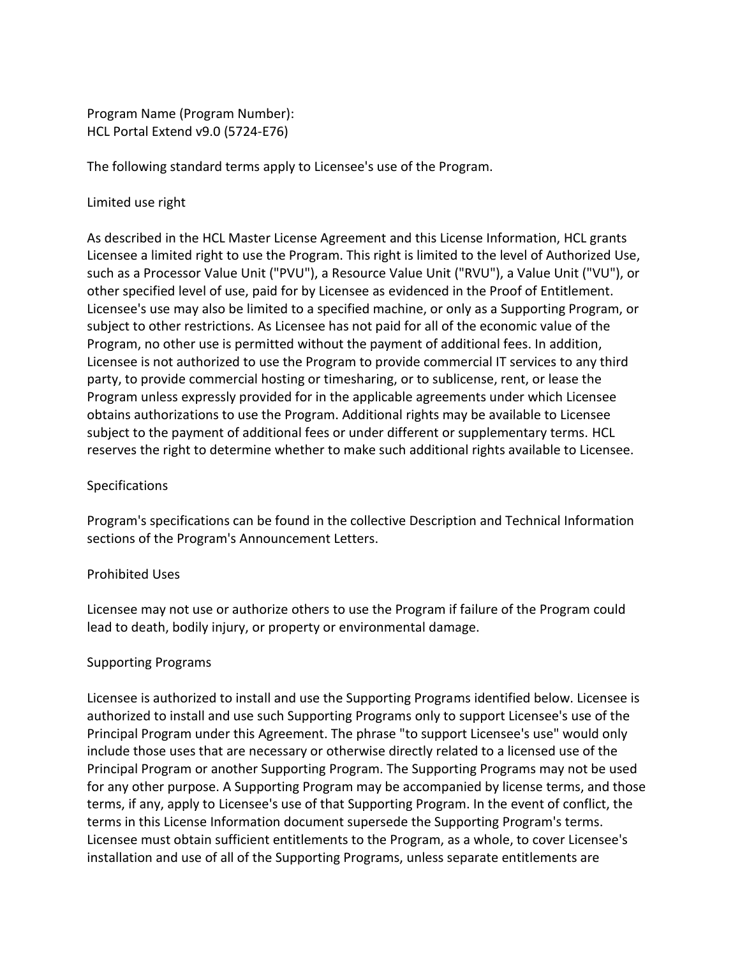Program Name (Program Number): HCL Portal Extend v9.0 (5724-E76)

The following standard terms apply to Licensee's use of the Program.

## Limited use right

As described in the HCL Master License Agreement and this License Information, HCL grants Licensee a limited right to use the Program. This right is limited to the level of Authorized Use, such as a Processor Value Unit ("PVU"), a Resource Value Unit ("RVU"), a Value Unit ("VU"), or other specified level of use, paid for by Licensee as evidenced in the Proof of Entitlement. Licensee's use may also be limited to a specified machine, or only as a Supporting Program, or subject to other restrictions. As Licensee has not paid for all of the economic value of the Program, no other use is permitted without the payment of additional fees. In addition, Licensee is not authorized to use the Program to provide commercial IT services to any third party, to provide commercial hosting or timesharing, or to sublicense, rent, or lease the Program unless expressly provided for in the applicable agreements under which Licensee obtains authorizations to use the Program. Additional rights may be available to Licensee subject to the payment of additional fees or under different or supplementary terms. HCL reserves the right to determine whether to make such additional rights available to Licensee.

## **Specifications**

Program's specifications can be found in the collective Description and Technical Information sections of the Program's Announcement Letters.

### Prohibited Uses

Licensee may not use or authorize others to use the Program if failure of the Program could lead to death, bodily injury, or property or environmental damage.

### Supporting Programs

Licensee is authorized to install and use the Supporting Programs identified below. Licensee is authorized to install and use such Supporting Programs only to support Licensee's use of the Principal Program under this Agreement. The phrase "to support Licensee's use" would only include those uses that are necessary or otherwise directly related to a licensed use of the Principal Program or another Supporting Program. The Supporting Programs may not be used for any other purpose. A Supporting Program may be accompanied by license terms, and those terms, if any, apply to Licensee's use of that Supporting Program. In the event of conflict, the terms in this License Information document supersede the Supporting Program's terms. Licensee must obtain sufficient entitlements to the Program, as a whole, to cover Licensee's installation and use of all of the Supporting Programs, unless separate entitlements are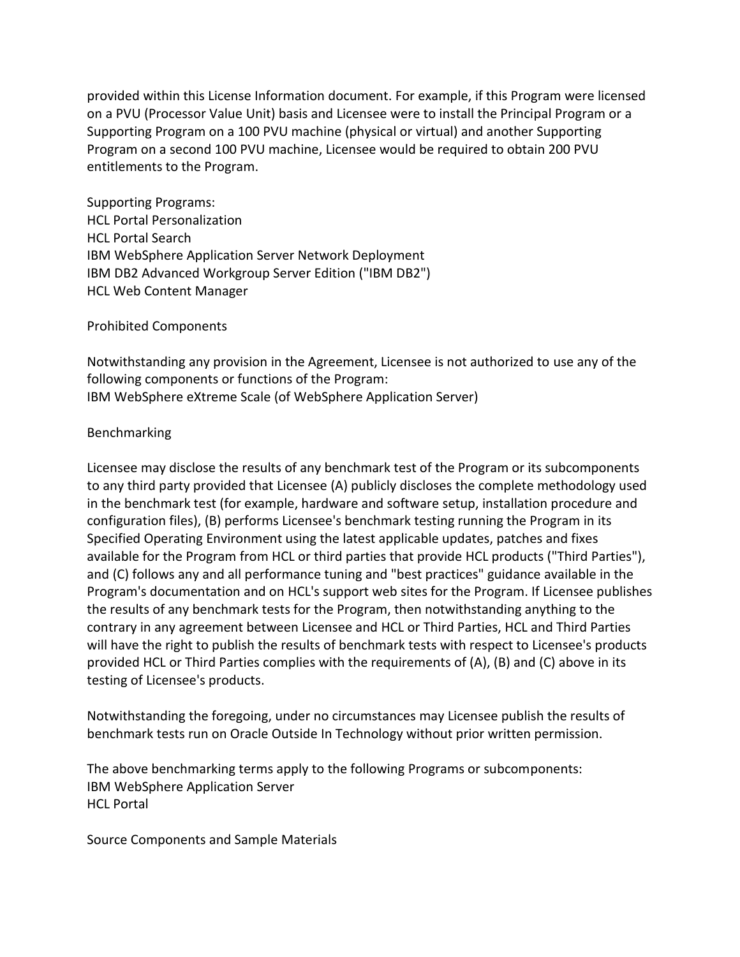provided within this License Information document. For example, if this Program were licensed on a PVU (Processor Value Unit) basis and Licensee were to install the Principal Program or a Supporting Program on a 100 PVU machine (physical or virtual) and another Supporting Program on a second 100 PVU machine, Licensee would be required to obtain 200 PVU entitlements to the Program.

Supporting Programs: HCL Portal Personalization HCL Portal Search IBM WebSphere Application Server Network Deployment IBM DB2 Advanced Workgroup Server Edition ("IBM DB2") HCL Web Content Manager

Prohibited Components

Notwithstanding any provision in the Agreement, Licensee is not authorized to use any of the following components or functions of the Program: IBM WebSphere eXtreme Scale (of WebSphere Application Server)

### Benchmarking

Licensee may disclose the results of any benchmark test of the Program or its subcomponents to any third party provided that Licensee (A) publicly discloses the complete methodology used in the benchmark test (for example, hardware and software setup, installation procedure and configuration files), (B) performs Licensee's benchmark testing running the Program in its Specified Operating Environment using the latest applicable updates, patches and fixes available for the Program from HCL or third parties that provide HCL products ("Third Parties"), and (C) follows any and all performance tuning and "best practices" guidance available in the Program's documentation and on HCL's support web sites for the Program. If Licensee publishes the results of any benchmark tests for the Program, then notwithstanding anything to the contrary in any agreement between Licensee and HCL or Third Parties, HCL and Third Parties will have the right to publish the results of benchmark tests with respect to Licensee's products provided HCL or Third Parties complies with the requirements of (A), (B) and (C) above in its testing of Licensee's products.

Notwithstanding the foregoing, under no circumstances may Licensee publish the results of benchmark tests run on Oracle Outside In Technology without prior written permission.

The above benchmarking terms apply to the following Programs or subcomponents: IBM WebSphere Application Server HCL Portal

Source Components and Sample Materials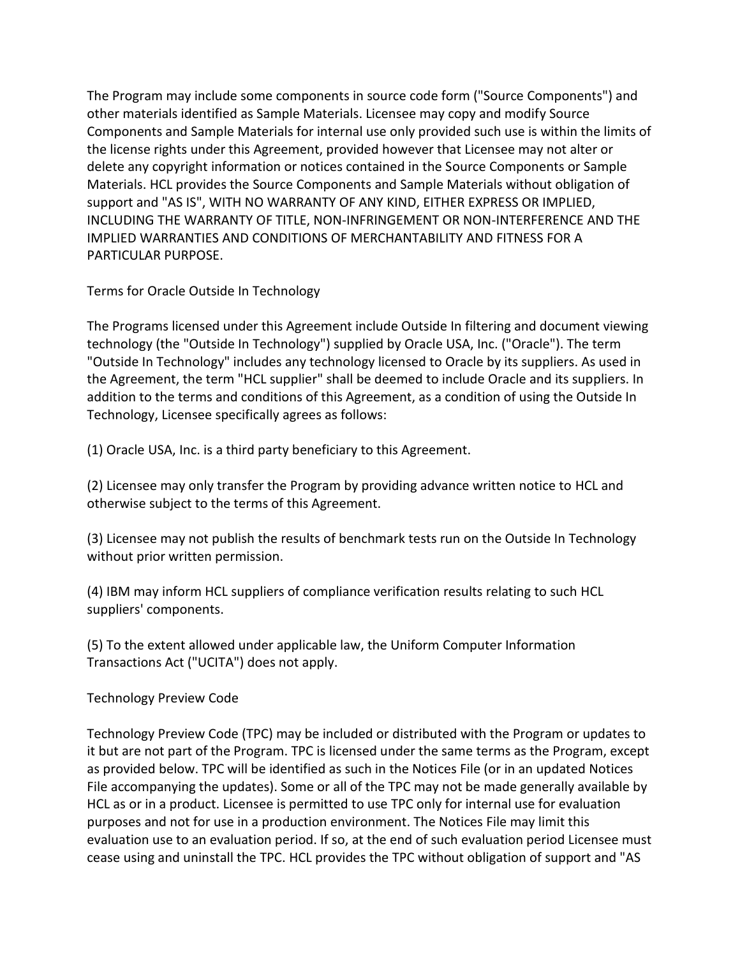The Program may include some components in source code form ("Source Components") and other materials identified as Sample Materials. Licensee may copy and modify Source Components and Sample Materials for internal use only provided such use is within the limits of the license rights under this Agreement, provided however that Licensee may not alter or delete any copyright information or notices contained in the Source Components or Sample Materials. HCL provides the Source Components and Sample Materials without obligation of support and "AS IS", WITH NO WARRANTY OF ANY KIND, EITHER EXPRESS OR IMPLIED, INCLUDING THE WARRANTY OF TITLE, NON-INFRINGEMENT OR NON-INTERFERENCE AND THE IMPLIED WARRANTIES AND CONDITIONS OF MERCHANTABILITY AND FITNESS FOR A PARTICULAR PURPOSE.

Terms for Oracle Outside In Technology

The Programs licensed under this Agreement include Outside In filtering and document viewing technology (the "Outside In Technology") supplied by Oracle USA, Inc. ("Oracle"). The term "Outside In Technology" includes any technology licensed to Oracle by its suppliers. As used in the Agreement, the term "HCL supplier" shall be deemed to include Oracle and its suppliers. In addition to the terms and conditions of this Agreement, as a condition of using the Outside In Technology, Licensee specifically agrees as follows:

(1) Oracle USA, Inc. is a third party beneficiary to this Agreement.

(2) Licensee may only transfer the Program by providing advance written notice to HCL and otherwise subject to the terms of this Agreement.

(3) Licensee may not publish the results of benchmark tests run on the Outside In Technology without prior written permission.

(4) IBM may inform HCL suppliers of compliance verification results relating to such HCL suppliers' components.

(5) To the extent allowed under applicable law, the Uniform Computer Information Transactions Act ("UCITA") does not apply.

Technology Preview Code

Technology Preview Code (TPC) may be included or distributed with the Program or updates to it but are not part of the Program. TPC is licensed under the same terms as the Program, except as provided below. TPC will be identified as such in the Notices File (or in an updated Notices File accompanying the updates). Some or all of the TPC may not be made generally available by HCL as or in a product. Licensee is permitted to use TPC only for internal use for evaluation purposes and not for use in a production environment. The Notices File may limit this evaluation use to an evaluation period. If so, at the end of such evaluation period Licensee must cease using and uninstall the TPC. HCL provides the TPC without obligation of support and "AS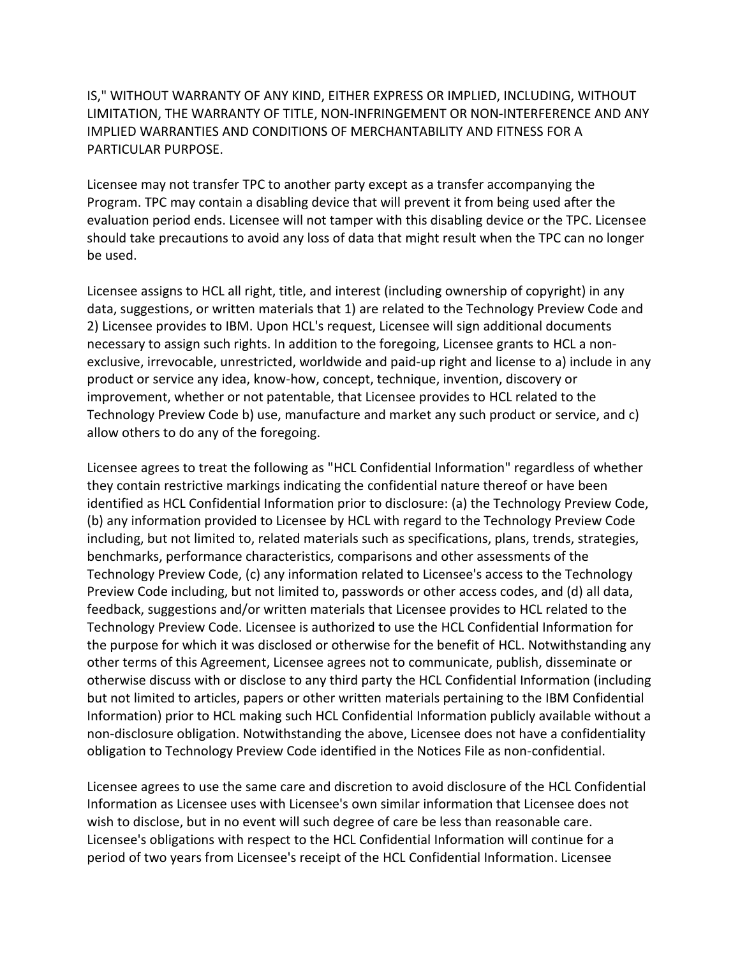IS," WITHOUT WARRANTY OF ANY KIND, EITHER EXPRESS OR IMPLIED, INCLUDING, WITHOUT LIMITATION, THE WARRANTY OF TITLE, NON-INFRINGEMENT OR NON-INTERFERENCE AND ANY IMPLIED WARRANTIES AND CONDITIONS OF MERCHANTABILITY AND FITNESS FOR A PARTICULAR PURPOSE.

Licensee may not transfer TPC to another party except as a transfer accompanying the Program. TPC may contain a disabling device that will prevent it from being used after the evaluation period ends. Licensee will not tamper with this disabling device or the TPC. Licensee should take precautions to avoid any loss of data that might result when the TPC can no longer be used.

Licensee assigns to HCL all right, title, and interest (including ownership of copyright) in any data, suggestions, or written materials that 1) are related to the Technology Preview Code and 2) Licensee provides to IBM. Upon HCL's request, Licensee will sign additional documents necessary to assign such rights. In addition to the foregoing, Licensee grants to HCL a nonexclusive, irrevocable, unrestricted, worldwide and paid-up right and license to a) include in any product or service any idea, know-how, concept, technique, invention, discovery or improvement, whether or not patentable, that Licensee provides to HCL related to the Technology Preview Code b) use, manufacture and market any such product or service, and c) allow others to do any of the foregoing.

Licensee agrees to treat the following as "HCL Confidential Information" regardless of whether they contain restrictive markings indicating the confidential nature thereof or have been identified as HCL Confidential Information prior to disclosure: (a) the Technology Preview Code, (b) any information provided to Licensee by HCL with regard to the Technology Preview Code including, but not limited to, related materials such as specifications, plans, trends, strategies, benchmarks, performance characteristics, comparisons and other assessments of the Technology Preview Code, (c) any information related to Licensee's access to the Technology Preview Code including, but not limited to, passwords or other access codes, and (d) all data, feedback, suggestions and/or written materials that Licensee provides to HCL related to the Technology Preview Code. Licensee is authorized to use the HCL Confidential Information for the purpose for which it was disclosed or otherwise for the benefit of HCL. Notwithstanding any other terms of this Agreement, Licensee agrees not to communicate, publish, disseminate or otherwise discuss with or disclose to any third party the HCL Confidential Information (including but not limited to articles, papers or other written materials pertaining to the IBM Confidential Information) prior to HCL making such HCL Confidential Information publicly available without a non-disclosure obligation. Notwithstanding the above, Licensee does not have a confidentiality obligation to Technology Preview Code identified in the Notices File as non-confidential.

Licensee agrees to use the same care and discretion to avoid disclosure of the HCL Confidential Information as Licensee uses with Licensee's own similar information that Licensee does not wish to disclose, but in no event will such degree of care be less than reasonable care. Licensee's obligations with respect to the HCL Confidential Information will continue for a period of two years from Licensee's receipt of the HCL Confidential Information. Licensee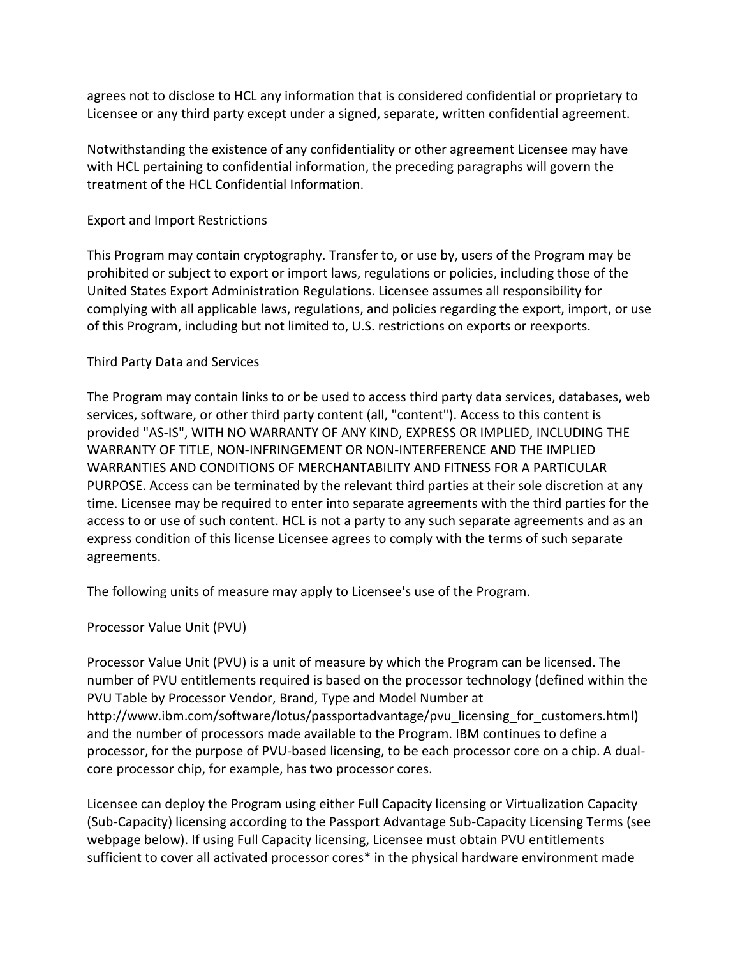agrees not to disclose to HCL any information that is considered confidential or proprietary to Licensee or any third party except under a signed, separate, written confidential agreement.

Notwithstanding the existence of any confidentiality or other agreement Licensee may have with HCL pertaining to confidential information, the preceding paragraphs will govern the treatment of the HCL Confidential Information.

## Export and Import Restrictions

This Program may contain cryptography. Transfer to, or use by, users of the Program may be prohibited or subject to export or import laws, regulations or policies, including those of the United States Export Administration Regulations. Licensee assumes all responsibility for complying with all applicable laws, regulations, and policies regarding the export, import, or use of this Program, including but not limited to, U.S. restrictions on exports or reexports.

# Third Party Data and Services

The Program may contain links to or be used to access third party data services, databases, web services, software, or other third party content (all, "content"). Access to this content is provided "AS-IS", WITH NO WARRANTY OF ANY KIND, EXPRESS OR IMPLIED, INCLUDING THE WARRANTY OF TITLE, NON-INFRINGEMENT OR NON-INTERFERENCE AND THE IMPLIED WARRANTIES AND CONDITIONS OF MERCHANTABILITY AND FITNESS FOR A PARTICULAR PURPOSE. Access can be terminated by the relevant third parties at their sole discretion at any time. Licensee may be required to enter into separate agreements with the third parties for the access to or use of such content. HCL is not a party to any such separate agreements and as an express condition of this license Licensee agrees to comply with the terms of such separate agreements.

The following units of measure may apply to Licensee's use of the Program.

### Processor Value Unit (PVU)

Processor Value Unit (PVU) is a unit of measure by which the Program can be licensed. The number of PVU entitlements required is based on the processor technology (defined within the PVU Table by Processor Vendor, Brand, Type and Model Number at http://www.ibm.com/software/lotus/passportadvantage/pvu\_licensing\_for\_customers.html) and the number of processors made available to the Program. IBM continues to define a processor, for the purpose of PVU-based licensing, to be each processor core on a chip. A dualcore processor chip, for example, has two processor cores.

Licensee can deploy the Program using either Full Capacity licensing or Virtualization Capacity (Sub-Capacity) licensing according to the Passport Advantage Sub-Capacity Licensing Terms (see webpage below). If using Full Capacity licensing, Licensee must obtain PVU entitlements sufficient to cover all activated processor cores\* in the physical hardware environment made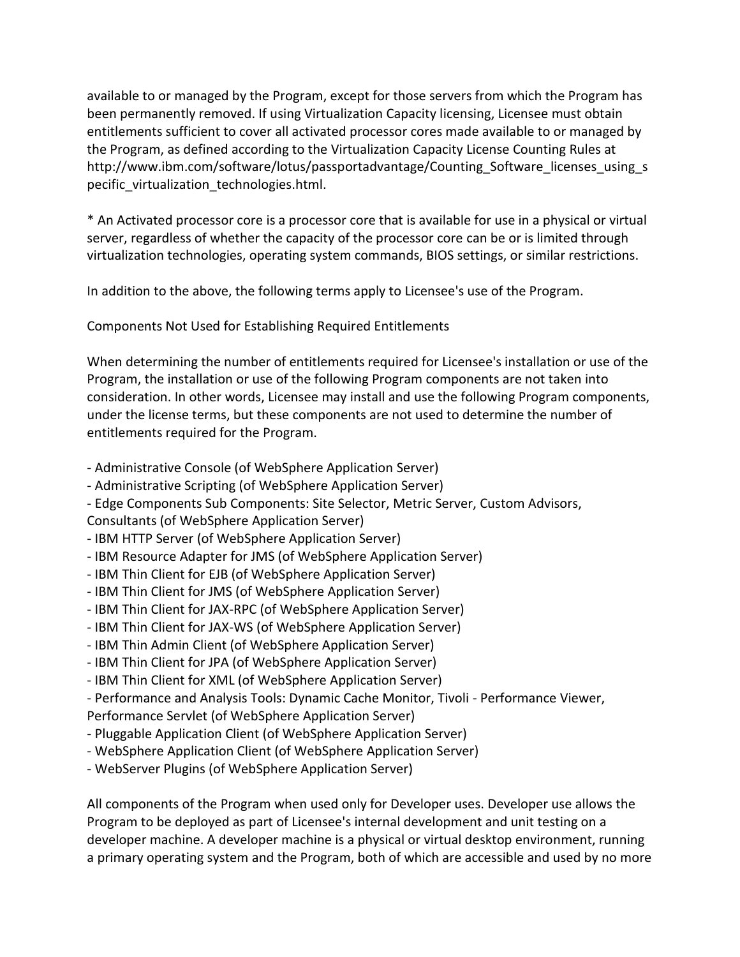available to or managed by the Program, except for those servers from which the Program has been permanently removed. If using Virtualization Capacity licensing, Licensee must obtain entitlements sufficient to cover all activated processor cores made available to or managed by the Program, as defined according to the Virtualization Capacity License Counting Rules at http://www.ibm.com/software/lotus/passportadvantage/Counting\_Software\_licenses\_using\_s pecific virtualization technologies.html.

\* An Activated processor core is a processor core that is available for use in a physical or virtual server, regardless of whether the capacity of the processor core can be or is limited through virtualization technologies, operating system commands, BIOS settings, or similar restrictions.

In addition to the above, the following terms apply to Licensee's use of the Program.

Components Not Used for Establishing Required Entitlements

When determining the number of entitlements required for Licensee's installation or use of the Program, the installation or use of the following Program components are not taken into consideration. In other words, Licensee may install and use the following Program components, under the license terms, but these components are not used to determine the number of entitlements required for the Program.

- Administrative Console (of WebSphere Application Server)
- Administrative Scripting (of WebSphere Application Server)
- Edge Components Sub Components: Site Selector, Metric Server, Custom Advisors,

Consultants (of WebSphere Application Server)

- IBM HTTP Server (of WebSphere Application Server)
- IBM Resource Adapter for JMS (of WebSphere Application Server)
- IBM Thin Client for EJB (of WebSphere Application Server)
- IBM Thin Client for JMS (of WebSphere Application Server)
- IBM Thin Client for JAX-RPC (of WebSphere Application Server)
- IBM Thin Client for JAX-WS (of WebSphere Application Server)
- IBM Thin Admin Client (of WebSphere Application Server)
- IBM Thin Client for JPA (of WebSphere Application Server)
- IBM Thin Client for XML (of WebSphere Application Server)
- Performance and Analysis Tools: Dynamic Cache Monitor, Tivoli Performance Viewer,
- Performance Servlet (of WebSphere Application Server)
- Pluggable Application Client (of WebSphere Application Server)
- WebSphere Application Client (of WebSphere Application Server)
- WebServer Plugins (of WebSphere Application Server)

All components of the Program when used only for Developer uses. Developer use allows the Program to be deployed as part of Licensee's internal development and unit testing on a developer machine. A developer machine is a physical or virtual desktop environment, running a primary operating system and the Program, both of which are accessible and used by no more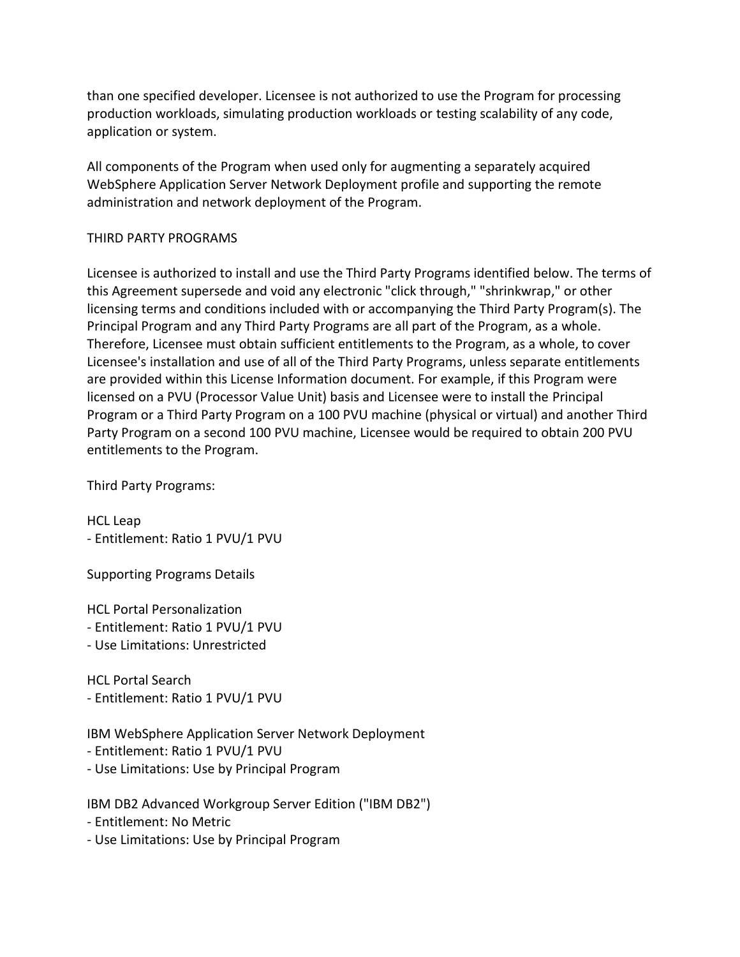than one specified developer. Licensee is not authorized to use the Program for processing production workloads, simulating production workloads or testing scalability of any code, application or system.

All components of the Program when used only for augmenting a separately acquired WebSphere Application Server Network Deployment profile and supporting the remote administration and network deployment of the Program.

# THIRD PARTY PROGRAMS

Licensee is authorized to install and use the Third Party Programs identified below. The terms of this Agreement supersede and void any electronic "click through," "shrinkwrap," or other licensing terms and conditions included with or accompanying the Third Party Program(s). The Principal Program and any Third Party Programs are all part of the Program, as a whole. Therefore, Licensee must obtain sufficient entitlements to the Program, as a whole, to cover Licensee's installation and use of all of the Third Party Programs, unless separate entitlements are provided within this License Information document. For example, if this Program were licensed on a PVU (Processor Value Unit) basis and Licensee were to install the Principal Program or a Third Party Program on a 100 PVU machine (physical or virtual) and another Third Party Program on a second 100 PVU machine, Licensee would be required to obtain 200 PVU entitlements to the Program.

Third Party Programs:

HCL Leap - Entitlement: Ratio 1 PVU/1 PVU

Supporting Programs Details

HCL Portal Personalization - Entitlement: Ratio 1 PVU/1 PVU - Use Limitations: Unrestricted

HCL Portal Search - Entitlement: Ratio 1 PVU/1 PVU

IBM WebSphere Application Server Network Deployment - Entitlement: Ratio 1 PVU/1 PVU

- Use Limitations: Use by Principal Program

IBM DB2 Advanced Workgroup Server Edition ("IBM DB2")

- Entitlement: No Metric

- Use Limitations: Use by Principal Program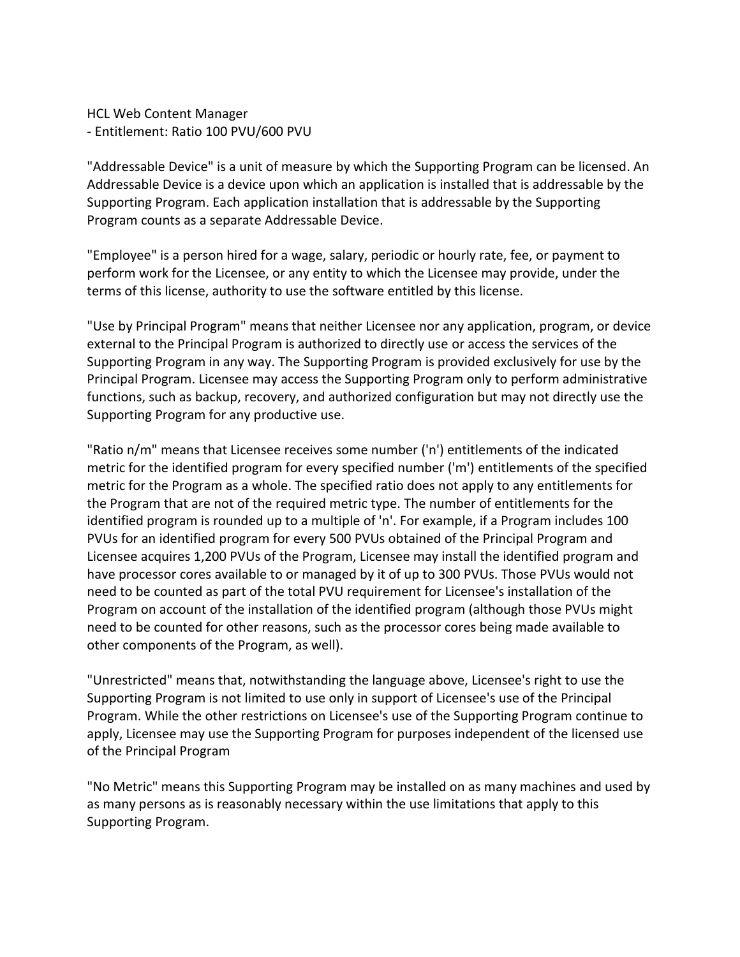HCL Web Content Manager - Entitlement: Ratio 100 PVU/600 PVU

"Addressable Device" is a unit of measure by which the Supporting Program can be licensed. An Addressable Device is a device upon which an application is installed that is addressable by the Supporting Program. Each application installation that is addressable by the Supporting Program counts as a separate Addressable Device.

"Employee" is a person hired for a wage, salary, periodic or hourly rate, fee, or payment to perform work for the Licensee, or any entity to which the Licensee may provide, under the terms of this license, authority to use the software entitled by this license.

"Use by Principal Program" means that neither Licensee nor any application, program, or device external to the Principal Program is authorized to directly use or access the services of the Supporting Program in any way. The Supporting Program is provided exclusively for use by the Principal Program. Licensee may access the Supporting Program only to perform administrative functions, such as backup, recovery, and authorized configuration but may not directly use the Supporting Program for any productive use.

"Ratio n/m" means that Licensee receives some number ('n') entitlements of the indicated metric for the identified program for every specified number ('m') entitlements of the specified metric for the Program as a whole. The specified ratio does not apply to any entitlements for the Program that are not of the required metric type. The number of entitlements for the identified program is rounded up to a multiple of 'n'. For example, if a Program includes 100 PVUs for an identified program for every 500 PVUs obtained of the Principal Program and Licensee acquires 1,200 PVUs of the Program, Licensee may install the identified program and have processor cores available to or managed by it of up to 300 PVUs. Those PVUs would not need to be counted as part of the total PVU requirement for Licensee's installation of the Program on account of the installation of the identified program (although those PVUs might need to be counted for other reasons, such as the processor cores being made available to other components of the Program, as well).

"Unrestricted" means that, notwithstanding the language above, Licensee's right to use the Supporting Program is not limited to use only in support of Licensee's use of the Principal Program. While the other restrictions on Licensee's use of the Supporting Program continue to apply, Licensee may use the Supporting Program for purposes independent of the licensed use of the Principal Program

"No Metric" means this Supporting Program may be installed on as many machines and used by as many persons as is reasonably necessary within the use limitations that apply to this Supporting Program.